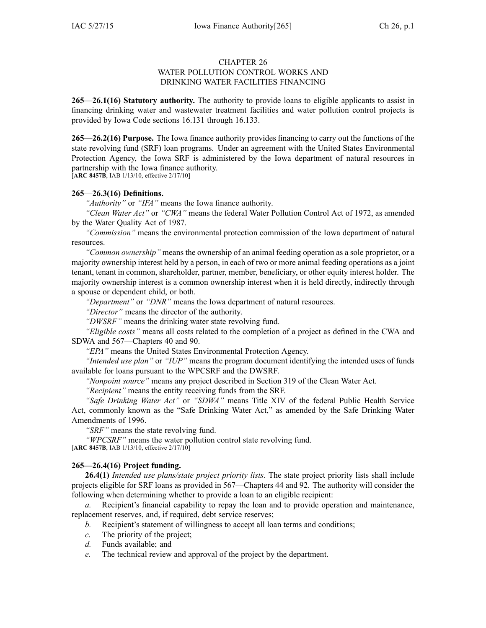# CHAPTER 26

### WATER POLLUTION CONTROL WORKS AND DRINKING WATER FACILITIES FINANCING

**265—26.1(16) Statutory authority.** The authority to provide loans to eligible applicants to assist in financing drinking water and wastewater treatment facilities and water pollution control projects is provided by Iowa Code sections [16.131](https://www.legis.iowa.gov/docs/ico/section/16.131.pdf) through [16.133](https://www.legis.iowa.gov/docs/ico/section/16.133.pdf).

**265—26.2(16) Purpose.** The Iowa finance authority provides financing to carry out the functions of the state revolving fund (SRF) loan programs. Under an agreemen<sup>t</sup> with the United States Environmental Protection Agency, the Iowa SRF is administered by the Iowa department of natural resources in partnership with the Iowa finance authority.

[**ARC 8457B**, IAB 1/13/10, effective 2/17/10]

# **265—26.3(16) Definitions.**

*"Authority"* or *"IFA"* means the Iowa finance authority.

*"Clean Water Act"* or *"CWA"* means the federal Water Pollution Control Act of 1972, as amended by the Water Quality Act of 1987.

*"Commission"* means the environmental protection commission of the Iowa department of natural resources.

*"Common ownership"* means the ownership of an animal feeding operation as <sup>a</sup> sole proprietor, or <sup>a</sup> majority ownership interest held by <sup>a</sup> person, in each of two or more animal feeding operations as <sup>a</sup> joint tenant, tenant in common, shareholder, partner, member, beneficiary, or other equity interest holder. The majority ownership interest is <sup>a</sup> common ownership interest when it is held directly, indirectly through <sup>a</sup> spouse or dependent child, or both.

*"Department"* or *"DNR"* means the Iowa department of natural resources.

*"Director"* means the director of the authority.

*"DWSRF"* means the drinking water state revolving fund.

*"Eligible costs"* means all costs related to the completion of <sup>a</sup> project as defined in the CWA and SDWA and 567—Chapters 40 and 90.

*"EPA"* means the United States Environmental Protection Agency.

*"Intended use plan"* or *"IUP"* means the program document identifying the intended uses of funds available for loans pursuan<sup>t</sup> to the WPCSRF and the DWSRF.

*"Nonpoint source"* means any project described in Section 319 of the Clean Water Act.

*"Recipient"* means the entity receiving funds from the SRF.

*"Safe Drinking Water Act"* or *"SDWA"* means Title XIV of the federal Public Health Service Act, commonly known as the "Safe Drinking Water Act," as amended by the Safe Drinking Water Amendments of 1996.

*"SRF"* means the state revolving fund.

*"WPCSRF"* means the water pollution control state revolving fund. [**ARC 8457B**, IAB 1/13/10, effective 2/17/10]

# **265—26.4(16) Project funding.**

**26.4(1)** *Intended use plans/state project priority lists.* The state project priority lists shall include projects eligible for SRF loans as provided in 567—Chapters 44 and 92. The authority will consider the following when determining whether to provide <sup>a</sup> loan to an eligible recipient:

*a.* Recipient's financial capability to repay the loan and to provide operation and maintenance, replacement reserves, and, if required, debt service reserves;

- *b.* Recipient's statement of willingness to accep<sup>t</sup> all loan terms and conditions;
- *c.* The priority of the project;
- *d.* Funds available; and
- *e.* The technical review and approval of the project by the department.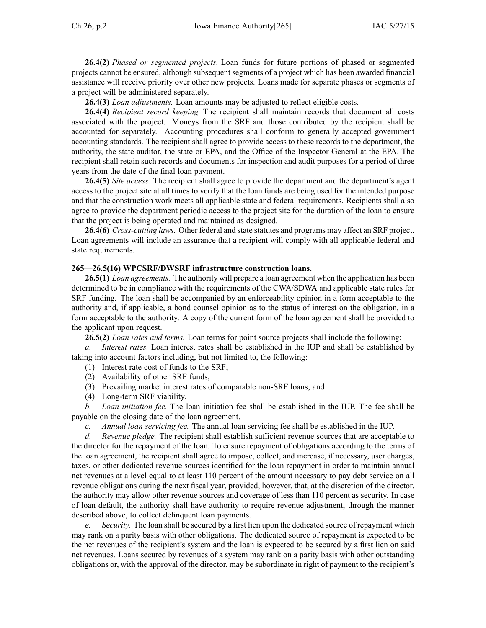**26.4(2)** *Phased or segmented projects.* Loan funds for future portions of phased or segmented projects cannot be ensured, although subsequent segments of <sup>a</sup> project which has been awarded financial assistance will receive priority over other new projects. Loans made for separate phases or segments of <sup>a</sup> project will be administered separately.

**26.4(3)** *Loan adjustments.* Loan amounts may be adjusted to reflect eligible costs.

**26.4(4)** *Recipient record keeping.* The recipient shall maintain records that document all costs associated with the project. Moneys from the SRF and those contributed by the recipient shall be accounted for separately. Accounting procedures shall conform to generally accepted governmen<sup>t</sup> accounting standards. The recipient shall agree to provide access to these records to the department, the authority, the state auditor, the state or EPA, and the Office of the Inspector General at the EPA. The recipient shall retain such records and documents for inspection and audit purposes for <sup>a</sup> period of three years from the date of the final loan payment.

**26.4(5)** *Site access.* The recipient shall agree to provide the department and the department's agen<sup>t</sup> access to the project site at all times to verify that the loan funds are being used for the intended purpose and that the construction work meets all applicable state and federal requirements. Recipients shall also agree to provide the department periodic access to the project site for the duration of the loan to ensure that the project is being operated and maintained as designed.

**26.4(6)** *Cross-cutting laws.* Other federal and state statutes and programs may affect an SRF project. Loan agreements will include an assurance that <sup>a</sup> recipient will comply with all applicable federal and state requirements.

### **265—26.5(16) WPCSRF/DWSRF infrastructure construction loans.**

**26.5(1)** *Loan agreements.* The authority will prepare <sup>a</sup> loan agreemen<sup>t</sup> when the application has been determined to be in compliance with the requirements of the CWA/SDWA and applicable state rules for SRF funding. The loan shall be accompanied by an enforceability opinion in <sup>a</sup> form acceptable to the authority and, if applicable, <sup>a</sup> bond counsel opinion as to the status of interest on the obligation, in <sup>a</sup> form acceptable to the authority. A copy of the current form of the loan agreemen<sup>t</sup> shall be provided to the applicant upon request.

**26.5(2)** *Loan rates and terms.* Loan terms for point source projects shall include the following:

*a. Interest rates.* Loan interest rates shall be established in the IUP and shall be established by taking into account factors including, but not limited to, the following:

- (1) Interest rate cost of funds to the SRF;
- (2) Availability of other SRF funds;
- (3) Prevailing market interest rates of comparable non-SRF loans; and
- (4) Long-term SRF viability.

*b. Loan initiation fee.* The loan initiation fee shall be established in the IUP. The fee shall be payable on the closing date of the loan agreement.

*c. Annual loan servicing fee.* The annual loan servicing fee shall be established in the IUP.

*d. Revenue pledge.* The recipient shall establish sufficient revenue sources that are acceptable to the director for the repaymen<sup>t</sup> of the loan. To ensure repaymen<sup>t</sup> of obligations according to the terms of the loan agreement, the recipient shall agree to impose, collect, and increase, if necessary, user charges, taxes, or other dedicated revenue sources identified for the loan repaymen<sup>t</sup> in order to maintain annual net revenues at <sup>a</sup> level equal to at least 110 percen<sup>t</sup> of the amount necessary to pay debt service on all revenue obligations during the next fiscal year, provided, however, that, at the discretion of the director, the authority may allow other revenue sources and coverage of less than 110 percen<sup>t</sup> as security. In case of loan default, the authority shall have authority to require revenue adjustment, through the manner described above, to collect delinquent loan payments.

*e. Security.* The loan shall be secured by <sup>a</sup> first lien upon the dedicated source of repaymen<sup>t</sup> which may rank on <sup>a</sup> parity basis with other obligations. The dedicated source of repaymen<sup>t</sup> is expected to be the net revenues of the recipient's system and the loan is expected to be secured by <sup>a</sup> first lien on said net revenues. Loans secured by revenues of <sup>a</sup> system may rank on <sup>a</sup> parity basis with other outstanding obligations or, with the approval of the director, may be subordinate in right of paymen<sup>t</sup> to the recipient's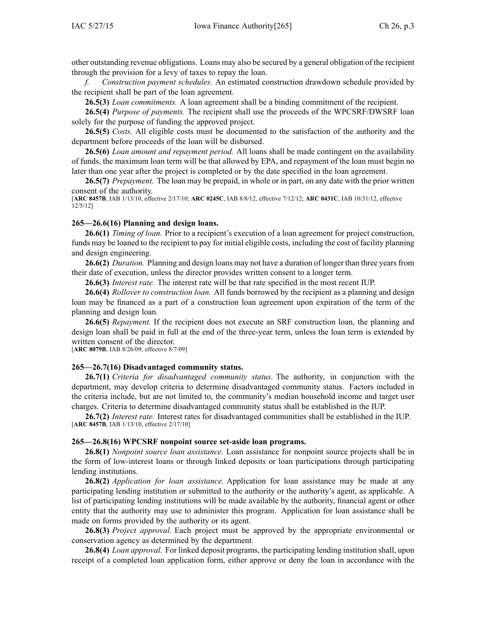other outstanding revenue obligations. Loans may also be secured by <sup>a</sup> general obligation of the recipient through the provision for <sup>a</sup> levy of taxes to repay the loan.

*f. Construction paymen<sup>t</sup> schedules.* An estimated construction drawdown schedule provided by the recipient shall be par<sup>t</sup> of the loan agreement.

**26.5(3)** *Loan commitments.* A loan agreemen<sup>t</sup> shall be <sup>a</sup> binding commitment of the recipient.

**26.5(4)** *Purpose of payments.* The recipient shall use the proceeds of the WPCSRF/DWSRF loan solely for the purpose of funding the approved project.

**26.5(5)** *Costs.* All eligible costs must be documented to the satisfaction of the authority and the department before proceeds of the loan will be disbursed.

**26.5(6)** *Loan amount and repaymen<sup>t</sup> period.* All loans shall be made contingent on the availability of funds, the maximum loan term will be that allowed by EPA, and repaymen<sup>t</sup> of the loan must begin no later than one year after the project is completed or by the date specified in the loan agreement.

**26.5(7)** *Prepayment.* The loan may be prepaid, in whole or in part, on any date with the prior written consent of the authority.

[**ARC 8457B**, IAB 1/13/10, effective 2/17/10; **ARC 0245C**, IAB 8/8/12, effective 7/12/12; **ARC 0431C**, IAB 10/31/12, effective  $12/5/12$ ]

### **265—26.6(16) Planning and design loans.**

**26.6(1)** *Timing of loan.* Prior to <sup>a</sup> recipient's execution of <sup>a</sup> loan agreemen<sup>t</sup> for project construction, funds may be loaned to the recipient to pay for initial eligible costs, including the cost of facility planning and design engineering.

**26.6(2)** *Duration.* Planning and design loans may not have <sup>a</sup> duration of longer than three yearsfrom their date of execution, unless the director provides written consent to <sup>a</sup> longer term.

**26.6(3)** *Interest rate.* The interest rate will be that rate specified in the most recent IUP.

**26.6(4)** *Rollover to construction loan.* All funds borrowed by the recipient as <sup>a</sup> planning and design loan may be financed as <sup>a</sup> par<sup>t</sup> of <sup>a</sup> construction loan agreemen<sup>t</sup> upon expiration of the term of the planning and design loan.

**26.6(5)** *Repayment.* If the recipient does not execute an SRF construction loan, the planning and design loan shall be paid in full at the end of the three-year term, unless the loan term is extended by written consent of the director.

[**ARC 8079B**, IAB 8/26/09, effective 8/7/09]

#### **265—26.7(16) Disadvantaged community status.**

**26.7(1)** *Criteria for disadvantaged community status.* The authority, in conjunction with the department, may develop criteria to determine disadvantaged community status. Factors included in the criteria include, but are not limited to, the community's median household income and target user charges. Criteria to determine disadvantaged community status shall be established in the IUP.

**26.7(2)** *Interest rate.* Interest rates for disadvantaged communities shall be established in the IUP. [**ARC 8457B**, IAB 1/13/10, effective 2/17/10]

#### **265—26.8(16) WPCSRF nonpoint source set-aside loan programs.**

**26.8(1)** *Nonpoint source loan assistance.* Loan assistance for nonpoint source projects shall be in the form of low-interest loans or through linked deposits or loan participations through participating lending institutions.

**26.8(2)** *Application for loan assistance.* Application for loan assistance may be made at any participating lending institution or submitted to the authority or the authority's agent, as applicable. A list of participating lending institutions will be made available by the authority, financial agen<sup>t</sup> or other entity that the authority may use to administer this program. Application for loan assistance shall be made on forms provided by the authority or its agent.

**26.8(3)** *Project approval.* Each project must be approved by the appropriate environmental or conservation agency as determined by the department.

**26.8(4)** *Loan approval.* For linked deposit programs, the participating lending institution shall, upon receipt of <sup>a</sup> completed loan application form, either approve or deny the loan in accordance with the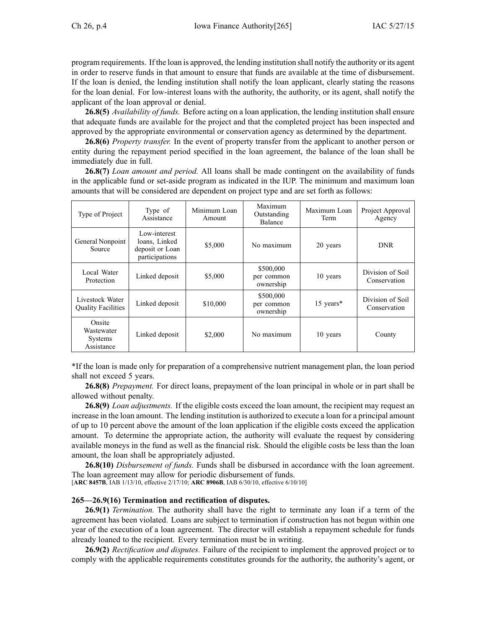program requirements. If the loan is approved, the lending institution shall notify the authority or its agen<sup>t</sup> in order to reserve funds in that amount to ensure that funds are available at the time of disbursement. If the loan is denied, the lending institution shall notify the loan applicant, clearly stating the reasons for the loan denial. For low-interest loans with the authority, the authority, or its agent, shall notify the applicant of the loan approval or denial.

**26.8(5)** *Availability of funds.* Before acting on <sup>a</sup> loan application, the lending institution shall ensure that adequate funds are available for the project and that the completed project has been inspected and approved by the appropriate environmental or conservation agency as determined by the department.

**26.8(6)** *Property transfer.* In the event of property transfer from the applicant to another person or entity during the repaymen<sup>t</sup> period specified in the loan agreement, the balance of the loan shall be immediately due in full.

**26.8(7)** *Loan amount and period.* All loans shall be made contingent on the availability of funds in the applicable fund or set-aside program as indicated in the IUP. The minimum and maximum loan amounts that will be considered are dependent on project type and are set forth as follows:

| Type of Project                               | Type of<br>Assistance                                              | Minimum Loan<br>Amount | Maximum<br>Outstanding<br>Balance    | Maximum Loan<br>Term | Project Approval<br>Agency       |
|-----------------------------------------------|--------------------------------------------------------------------|------------------------|--------------------------------------|----------------------|----------------------------------|
| General Nonpoint<br>Source                    | Low-interest<br>loans, Linked<br>deposit or Loan<br>participations | \$5,000                | No maximum                           | 20 years             | <b>DNR</b>                       |
| Local Water<br>Protection                     | Linked deposit                                                     | \$5,000                | \$500,000<br>per common<br>ownership | 10 years             | Division of Soil<br>Conservation |
| Livestock Water<br><b>Ouality Facilities</b>  | Linked deposit                                                     | \$10,000               | \$500,000<br>per common<br>ownership | 15 years*            | Division of Soil<br>Conservation |
| Onsite<br>Wastewater<br>Systems<br>Assistance | Linked deposit                                                     | \$2,000                | No maximum                           | 10 years             | County                           |

\*If the loan is made only for preparation of <sup>a</sup> comprehensive nutrient managemen<sup>t</sup> plan, the loan period shall not exceed 5 years.

**26.8(8)** *Prepayment.* For direct loans, prepaymen<sup>t</sup> of the loan principal in whole or in par<sup>t</sup> shall be allowed without penalty.

**26.8(9)** *Loan adjustments.* If the eligible costs exceed the loan amount, the recipient may reques<sup>t</sup> an increase in the loan amount. The lending institution is authorized to execute <sup>a</sup> loan for <sup>a</sup> principal amount of up to 10 percen<sup>t</sup> above the amount of the loan application if the eligible costs exceed the application amount. To determine the appropriate action, the authority will evaluate the reques<sup>t</sup> by considering available moneys in the fund as well as the financial risk. Should the eligible costs be less than the loan amount, the loan shall be appropriately adjusted.

**26.8(10)** *Disbursement of funds.* Funds shall be disbursed in accordance with the loan agreement. The loan agreemen<sup>t</sup> may allow for periodic disbursement of funds.

[**ARC 8457B**, IAB 1/13/10, effective 2/17/10; **ARC 8906B**, IAB 6/30/10, effective 6/10/10]

## **265—26.9(16) Termination and rectification of disputes.**

**26.9(1)** *Termination.* The authority shall have the right to terminate any loan if <sup>a</sup> term of the agreemen<sup>t</sup> has been violated. Loans are subject to termination if construction has not begun within one year of the execution of <sup>a</sup> loan agreement. The director will establish <sup>a</sup> repaymen<sup>t</sup> schedule for funds already loaned to the recipient. Every termination must be in writing.

**26.9(2)** *Rectification and disputes.* Failure of the recipient to implement the approved project or to comply with the applicable requirements constitutes grounds for the authority, the authority's agent, or